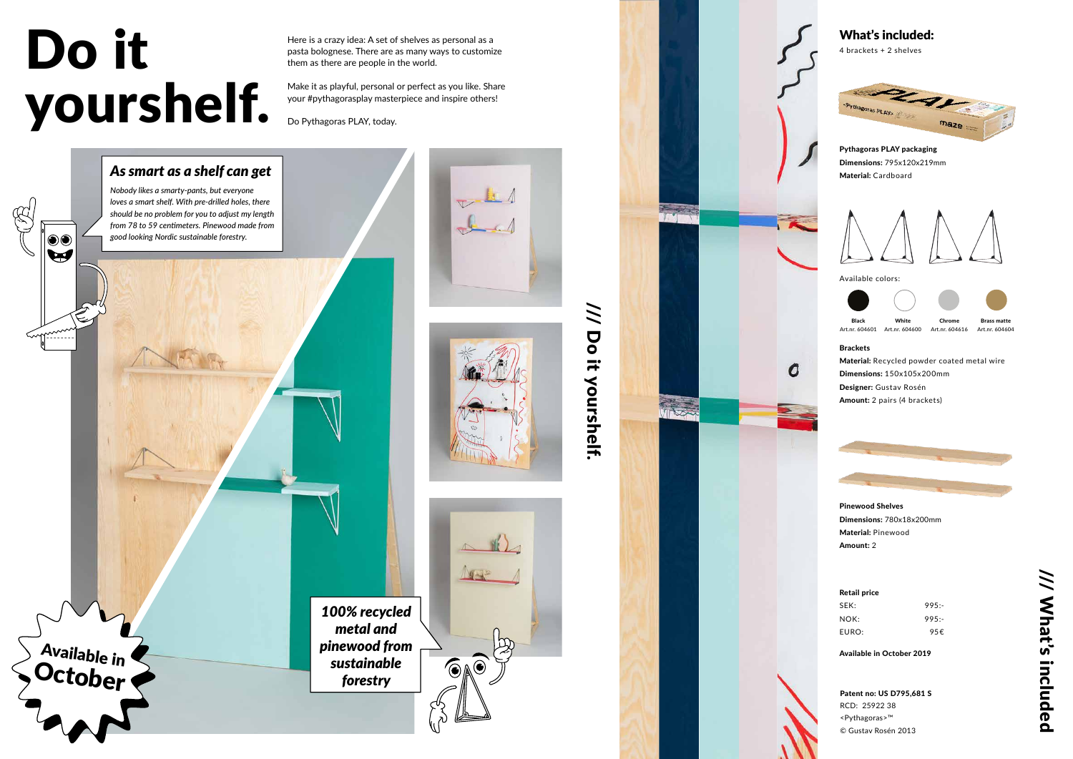Here is a crazy idea: A set of shelves as personal as a pasta bolognese. There are as many ways to customize them as there are people in the world.

Make it as playful, personal or perfect as you like. Share your #pythagorasplay masterpiece and inspire others!

Do Pythagoras PLAY, today.

/// Do it yourshelf.

it yourshelf.

 $\frac{1}{2}$ 

 $\overline{Q}$ 

# Do it yourshelf.

**Available in** 

 $\odot\mathbf{C}$  $\blacktriangleright$ 

> *100% recycled metal and pinewood from sustainable forestry*



Brackets Material: Recycled powder coated metal wire Dimensions: 150x105x200mm Designer: Gustav Rosén Amount: 2 pairs (4 brackets)

4 brackets + 2 shelves



Available colors:



Art.nr. 604600



Art.nr. 604604





Art.nr. 604601

Pinewood Shelves Dimensions: 780x18x200mm Material: Pinewood Amount: 2

Pythagoras PLAY packaging Dimensions: 795x120x219mm Material: Cardboard





#### Retail price

| SEK:  | 995: |
|-------|------|
| NOK:  | 995: |
| EURO: | 95€  |

Available in October 2019

Patent no: US D795,681 S RCD: 25922 38 <Pythagoras>™ © Gustav Rosén 2013

## *As smart as a shelf can get*

*Nobody likes a smarty-pants, but everyone loves a smart shelf. With pre-drilled holes, there should be no problem for you to adjust my length from 78 to 59 centimeters. Pinewood made from good looking Nordic sustainable forestry.*





 $\widehat{\bullet}$ 

### What's included: